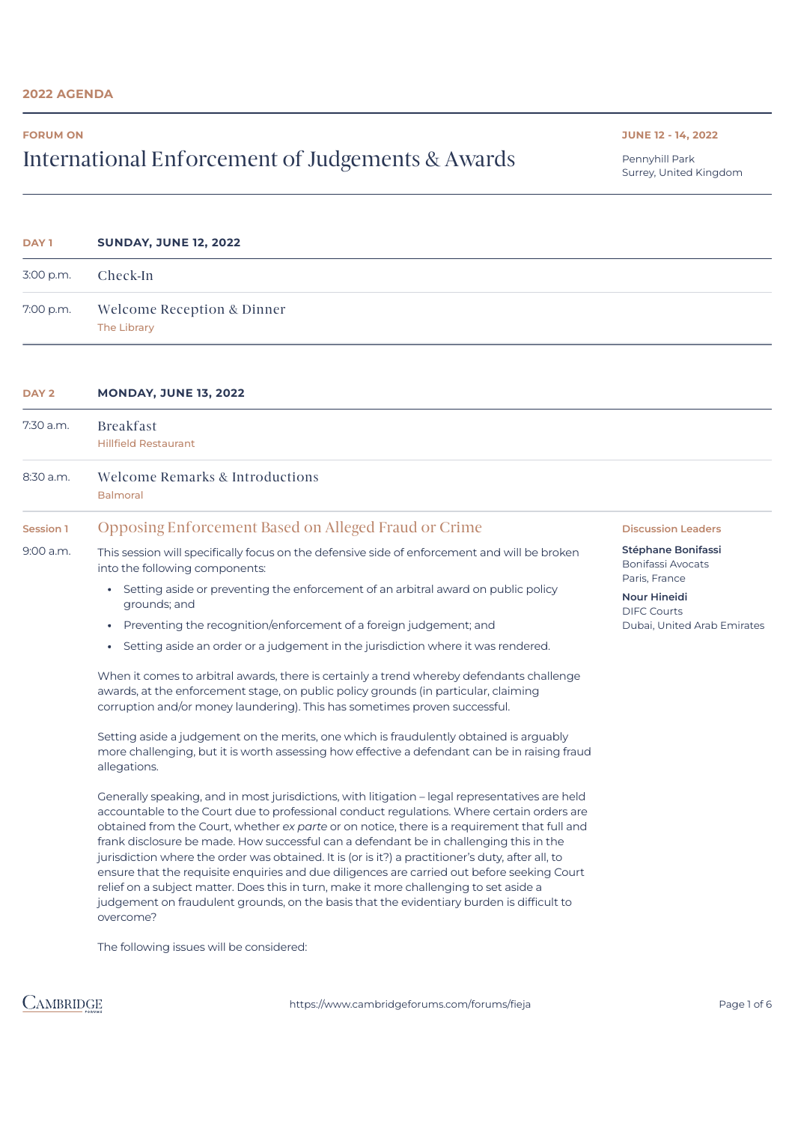# **FORUM ON**

# International Enforcement of Judgements & Awards

| DAY <sub>1</sub> | <b>SUNDAY, JUNE 12, 2022</b>                                                                                                                                                                                                                                                                                                                                                                                                                                                                                                                                                                                                                                                                                                                                                                    |                                                                                                                                             |
|------------------|-------------------------------------------------------------------------------------------------------------------------------------------------------------------------------------------------------------------------------------------------------------------------------------------------------------------------------------------------------------------------------------------------------------------------------------------------------------------------------------------------------------------------------------------------------------------------------------------------------------------------------------------------------------------------------------------------------------------------------------------------------------------------------------------------|---------------------------------------------------------------------------------------------------------------------------------------------|
| 3:00 p.m.        | Check-In                                                                                                                                                                                                                                                                                                                                                                                                                                                                                                                                                                                                                                                                                                                                                                                        |                                                                                                                                             |
| 7:00 p.m.        | <b>Welcome Reception &amp; Dinner</b><br>The Library                                                                                                                                                                                                                                                                                                                                                                                                                                                                                                                                                                                                                                                                                                                                            |                                                                                                                                             |
| DAY <sub>2</sub> | <b>MONDAY, JUNE 13, 2022</b>                                                                                                                                                                                                                                                                                                                                                                                                                                                                                                                                                                                                                                                                                                                                                                    |                                                                                                                                             |
| 7:30 a.m.        | <b>Breakfast</b><br><b>Hillfield Restaurant</b>                                                                                                                                                                                                                                                                                                                                                                                                                                                                                                                                                                                                                                                                                                                                                 |                                                                                                                                             |
| $8:30$ a.m.      | Welcome Remarks & Introductions<br><b>Balmoral</b>                                                                                                                                                                                                                                                                                                                                                                                                                                                                                                                                                                                                                                                                                                                                              |                                                                                                                                             |
| Session 1        | Opposing Enforcement Based on Alleged Fraud or Crime                                                                                                                                                                                                                                                                                                                                                                                                                                                                                                                                                                                                                                                                                                                                            | <b>Discussion Leaders</b>                                                                                                                   |
| $9:00$ a.m.      | This session will specifically focus on the defensive side of enforcement and will be broken<br>into the following components:                                                                                                                                                                                                                                                                                                                                                                                                                                                                                                                                                                                                                                                                  | Stéphane Bonifassi<br><b>Bonifassi Avocats</b><br>Paris, France<br><b>Nour Hineidi</b><br><b>DIFC Courts</b><br>Dubai, United Arab Emirates |
|                  | • Setting aside or preventing the enforcement of an arbitral award on public policy<br>grounds; and<br>• Preventing the recognition/enforcement of a foreign judgement; and                                                                                                                                                                                                                                                                                                                                                                                                                                                                                                                                                                                                                     |                                                                                                                                             |
|                  | • Setting aside an order or a judgement in the jurisdiction where it was rendered.                                                                                                                                                                                                                                                                                                                                                                                                                                                                                                                                                                                                                                                                                                              |                                                                                                                                             |
|                  | When it comes to arbitral awards, there is certainly a trend whereby defendants challenge<br>awards, at the enforcement stage, on public policy grounds (in particular, claiming<br>corruption and/or money laundering). This has sometimes proven successful.                                                                                                                                                                                                                                                                                                                                                                                                                                                                                                                                  |                                                                                                                                             |
|                  | Setting aside a judgement on the merits, one which is fraudulently obtained is arguably<br>more challenging, but it is worth assessing how effective a defendant can be in raising fraud<br>allegations.                                                                                                                                                                                                                                                                                                                                                                                                                                                                                                                                                                                        |                                                                                                                                             |
|                  | Generally speaking, and in most jurisdictions, with litigation - legal representatives are held<br>accountable to the Court due to professional conduct regulations. Where certain orders are<br>obtained from the Court, whether ex parte or on notice, there is a requirement that full and<br>frank disclosure be made. How successful can a defendant be in challenging this in the<br>jurisdiction where the order was obtained. It is (or is it?) a practitioner's duty, after all, to<br>ensure that the requisite enquiries and due diligences are carried out before seeking Court<br>relief on a subject matter. Does this in turn, make it more challenging to set aside a<br>judgement on fraudulent grounds, on the basis that the evidentiary burden is difficult to<br>overcome? |                                                                                                                                             |
|                  | The following issues will be considered:                                                                                                                                                                                                                                                                                                                                                                                                                                                                                                                                                                                                                                                                                                                                                        |                                                                                                                                             |

## **JUNE 12 - 14, 2022**

Pennyhill Park Surrey, United Kingdom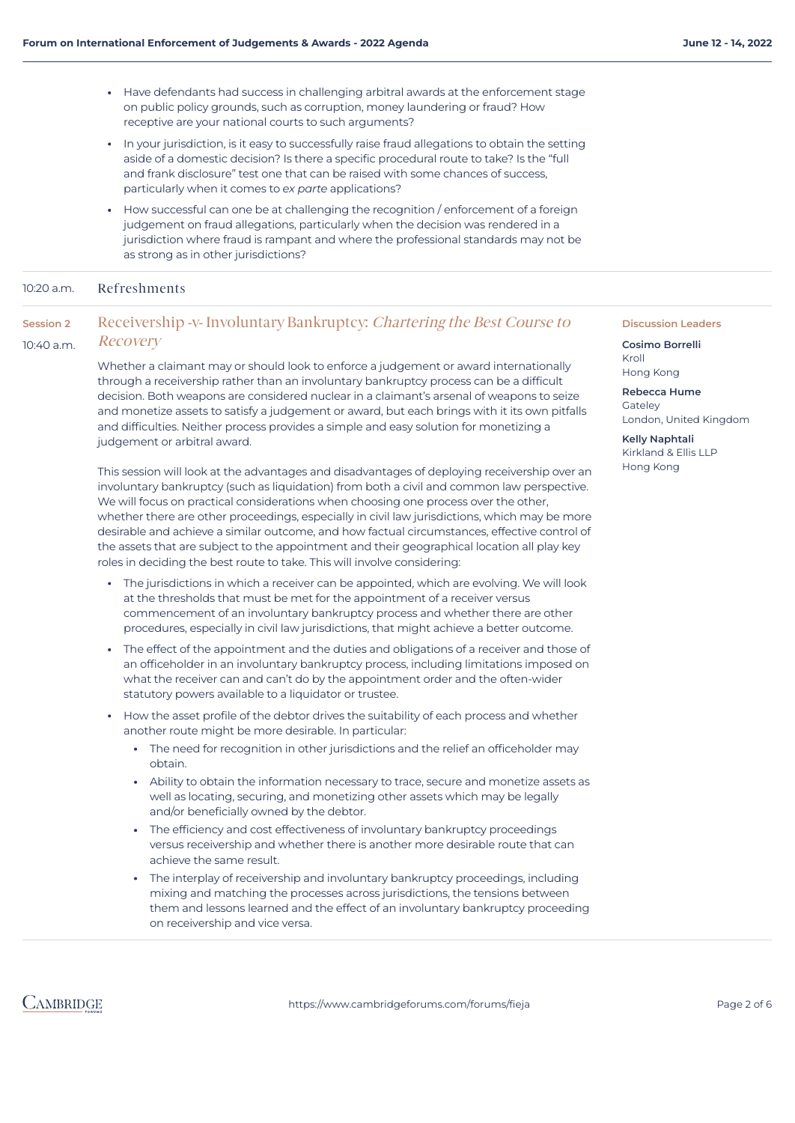- Have defendants had success in challenging arbitral awards at the enforcement stage on public policy grounds, such as corruption, money laundering or fraud? How receptive are your national courts to such arguments?
- In your jurisdiction, is it easy to successfully raise fraud allegations to obtain the setting aside of a domestic decision? Is there a specific procedural route to take? Is the "full and frank disclosure" test one that can be raised with some chances of success, particularly when it comes to *ex parte* applications?
- How successful can one be at challenging the recognition / enforcement of a foreign judgement on fraud allegations, particularly when the decision was rendered in a jurisdiction where fraud is rampant and where the professional standards may not be as strong as in other jurisdictions?

## 10:20 a.m. Refreshments

#### **Session 2** 10:40 a.m. Receivership -v- Involuntary Bankruptcy: Chartering the Best Course to Recovery

Whether a claimant may or should look to enforce a judgement or award internationally through a receivership rather than an involuntary bankruptcy process can be a difficult decision. Both weapons are considered nuclear in a claimant's arsenal of weapons to seize and monetize assets to satisfy a judgement or award, but each brings with it its own pitfalls and difficulties. Neither process provides a simple and easy solution for monetizing a judgement or arbitral award.

This session will look at the advantages and disadvantages of deploying receivership over an involuntary bankruptcy (such as liquidation) from both a civil and common law perspective. We will focus on practical considerations when choosing one process over the other, whether there are other proceedings, especially in civil law jurisdictions, which may be more desirable and achieve a similar outcome, and how factual circumstances, effective control of the assets that are subject to the appointment and their geographical location all play key roles in deciding the best route to take. This will involve considering:

- The jurisdictions in which a receiver can be appointed, which are evolving. We will look at the thresholds that must be met for the appointment of a receiver versus commencement of an involuntary bankruptcy process and whether there are other procedures, especially in civil law jurisdictions, that might achieve a better outcome.
- The effect of the appointment and the duties and obligations of a receiver and those of an officeholder in an involuntary bankruptcy process, including limitations imposed on what the receiver can and can't do by the appointment order and the often-wider statutory powers available to a liquidator or trustee.
- How the asset profile of the debtor drives the suitability of each process and whether another route might be more desirable. In particular:
	- The need for recognition in other jurisdictions and the relief an officeholder may obtain.
	- Ability to obtain the information necessary to trace, secure and monetize assets as well as locating, securing, and monetizing other assets which may be legally and/or beneficially owned by the debtor.
	- The efficiency and cost effectiveness of involuntary bankruptcy proceedings versus receivership and whether there is another more desirable route that can achieve the same result.
	- The interplay of receivership and involuntary bankruptcy proceedings, including mixing and matching the processes across jurisdictions, the tensions between them and lessons learned and the effect of an involuntary bankruptcy proceeding on receivership and vice versa.

#### **Discussion Leaders**

#### **Cosimo Borrelli** Kroll Hong Kong

**Rebecca Hume** Gateley London, United Kingdom

**Kelly Naphtali** Kirkland & Ellis LLP Hong Kong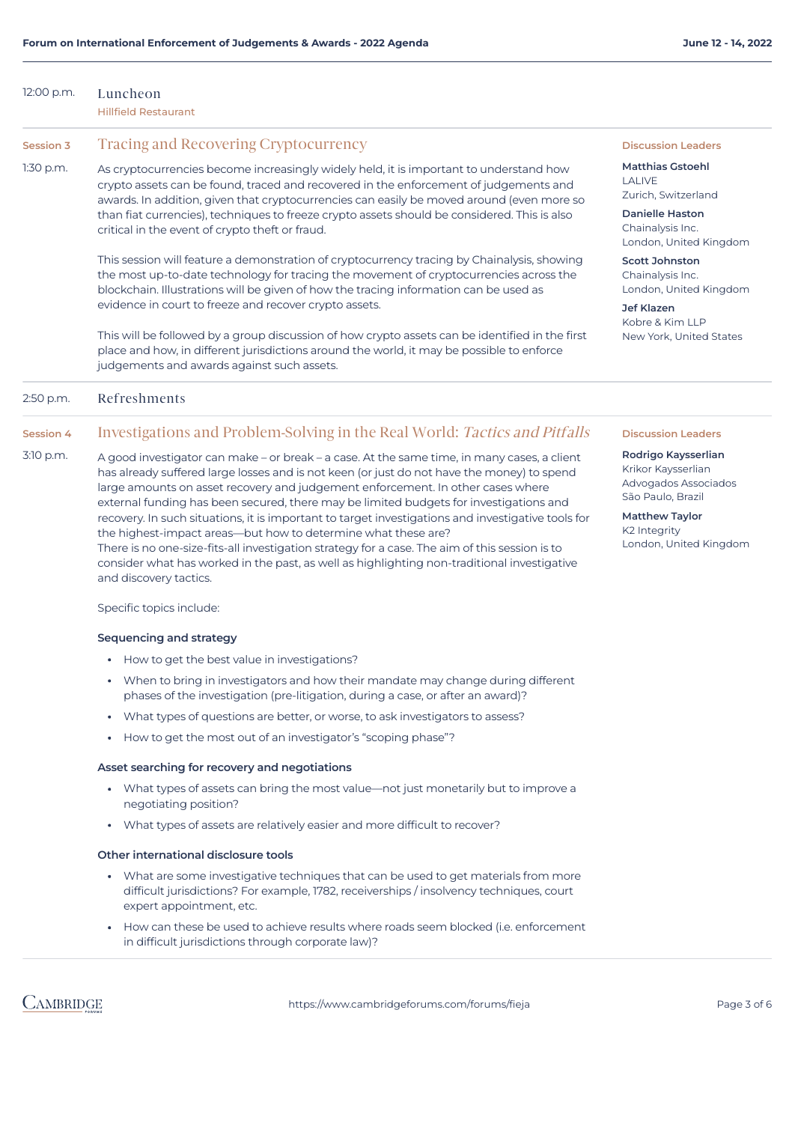| 12:00 p.m. | Luncheon<br><b>Hillfield Restaurant</b>                                                                                                                                                                                                                                                                                                                                                                                                                                                                                                                                                                                                                                                                                                                                  |                                                                                                                                                           |
|------------|--------------------------------------------------------------------------------------------------------------------------------------------------------------------------------------------------------------------------------------------------------------------------------------------------------------------------------------------------------------------------------------------------------------------------------------------------------------------------------------------------------------------------------------------------------------------------------------------------------------------------------------------------------------------------------------------------------------------------------------------------------------------------|-----------------------------------------------------------------------------------------------------------------------------------------------------------|
| Session 3  | Tracing and Recovering Cryptocurrency                                                                                                                                                                                                                                                                                                                                                                                                                                                                                                                                                                                                                                                                                                                                    | <b>Discussion Leaders</b>                                                                                                                                 |
| 1:30 p.m.  | As cryptocurrencies become increasingly widely held, it is important to understand how<br>crypto assets can be found, traced and recovered in the enforcement of judgements and<br>awards. In addition, given that cryptocurrencies can easily be moved around (even more so<br>than fiat currencies), techniques to freeze crypto assets should be considered. This is also<br>critical in the event of crypto theft or fraud.                                                                                                                                                                                                                                                                                                                                          | <b>Matthias Gstoehl</b><br>LALIVE<br>Zurich, Switzerland<br><b>Danielle Haston</b><br>Chainalysis Inc.<br>London, United Kingdom                          |
|            | This session will feature a demonstration of cryptocurrency tracing by Chainalysis, showing<br>the most up-to-date technology for tracing the movement of cryptocurrencies across the<br>blockchain. Illustrations will be given of how the tracing information can be used as<br>evidence in court to freeze and recover crypto assets.                                                                                                                                                                                                                                                                                                                                                                                                                                 | <b>Scott Johnston</b><br>Chainalysis Inc.<br>London, United Kingdom<br><b>Jef Klazen</b><br>Kobre & Kim LLP                                               |
|            | This will be followed by a group discussion of how crypto assets can be identified in the first<br>place and how, in different jurisdictions around the world, it may be possible to enforce<br>judgements and awards against such assets.                                                                                                                                                                                                                                                                                                                                                                                                                                                                                                                               | New York, United States                                                                                                                                   |
| 2:50 p.m.  | Refreshments                                                                                                                                                                                                                                                                                                                                                                                                                                                                                                                                                                                                                                                                                                                                                             |                                                                                                                                                           |
| Session 4  | Investigations and Problem-Solving in the Real World: Tactics and Pitfalls                                                                                                                                                                                                                                                                                                                                                                                                                                                                                                                                                                                                                                                                                               | <b>Discussion Leaders</b>                                                                                                                                 |
| 3:10 p.m.  | A good investigator can make - or break - a case. At the same time, in many cases, a client<br>has already suffered large losses and is not keen (or just do not have the money) to spend<br>large amounts on asset recovery and judgement enforcement. In other cases where<br>external funding has been secured, there may be limited budgets for investigations and<br>recovery. In such situations, it is important to target investigations and investigative tools for<br>the highest-impact areas-but how to determine what these are?<br>There is no one-size-fits-all investigation strategy for a case. The aim of this session is to<br>consider what has worked in the past, as well as highlighting non-traditional investigative<br>and discovery tactics. | Rodrigo Kaysserlian<br>Krikor Kaysserlian<br>Advogados Associados<br>São Paulo, Brazil<br><b>Matthew Taylor</b><br>K2 Integrity<br>London, United Kingdom |
|            | Specific topics include:                                                                                                                                                                                                                                                                                                                                                                                                                                                                                                                                                                                                                                                                                                                                                 |                                                                                                                                                           |
|            | Sequencing and strategy                                                                                                                                                                                                                                                                                                                                                                                                                                                                                                                                                                                                                                                                                                                                                  |                                                                                                                                                           |
|            | • How to get the best value in investigations?                                                                                                                                                                                                                                                                                                                                                                                                                                                                                                                                                                                                                                                                                                                           |                                                                                                                                                           |
|            | • When to bring in investigators and how their mandate may change during different<br>phases of the investigation (pre-litigation, during a case, or after an award)?                                                                                                                                                                                                                                                                                                                                                                                                                                                                                                                                                                                                    |                                                                                                                                                           |
|            | • What types of questions are better, or worse, to ask investigators to assess?                                                                                                                                                                                                                                                                                                                                                                                                                                                                                                                                                                                                                                                                                          |                                                                                                                                                           |
|            | • How to get the most out of an investigator's "scoping phase"?                                                                                                                                                                                                                                                                                                                                                                                                                                                                                                                                                                                                                                                                                                          |                                                                                                                                                           |
|            | Asset searching for recovery and negotiations                                                                                                                                                                                                                                                                                                                                                                                                                                                                                                                                                                                                                                                                                                                            |                                                                                                                                                           |
|            | • What types of assets can bring the most value—not just monetarily but to improve a<br>negotiating position?                                                                                                                                                                                                                                                                                                                                                                                                                                                                                                                                                                                                                                                            |                                                                                                                                                           |
|            | What types of assets are relatively easier and more difficult to recover?                                                                                                                                                                                                                                                                                                                                                                                                                                                                                                                                                                                                                                                                                                |                                                                                                                                                           |
|            | Other international disclosure tools                                                                                                                                                                                                                                                                                                                                                                                                                                                                                                                                                                                                                                                                                                                                     |                                                                                                                                                           |
|            | • What are some investigative techniques that can be used to get materials from more<br>difficult jurisdictions? For example, 1782, receiverships / insolvency techniques, court<br>expert appointment, etc.                                                                                                                                                                                                                                                                                                                                                                                                                                                                                                                                                             |                                                                                                                                                           |
|            | How can these be used to achieve results where roads seem blocked (i.e. enforcement<br>in difficult jurisdictions through corporate law)?                                                                                                                                                                                                                                                                                                                                                                                                                                                                                                                                                                                                                                |                                                                                                                                                           |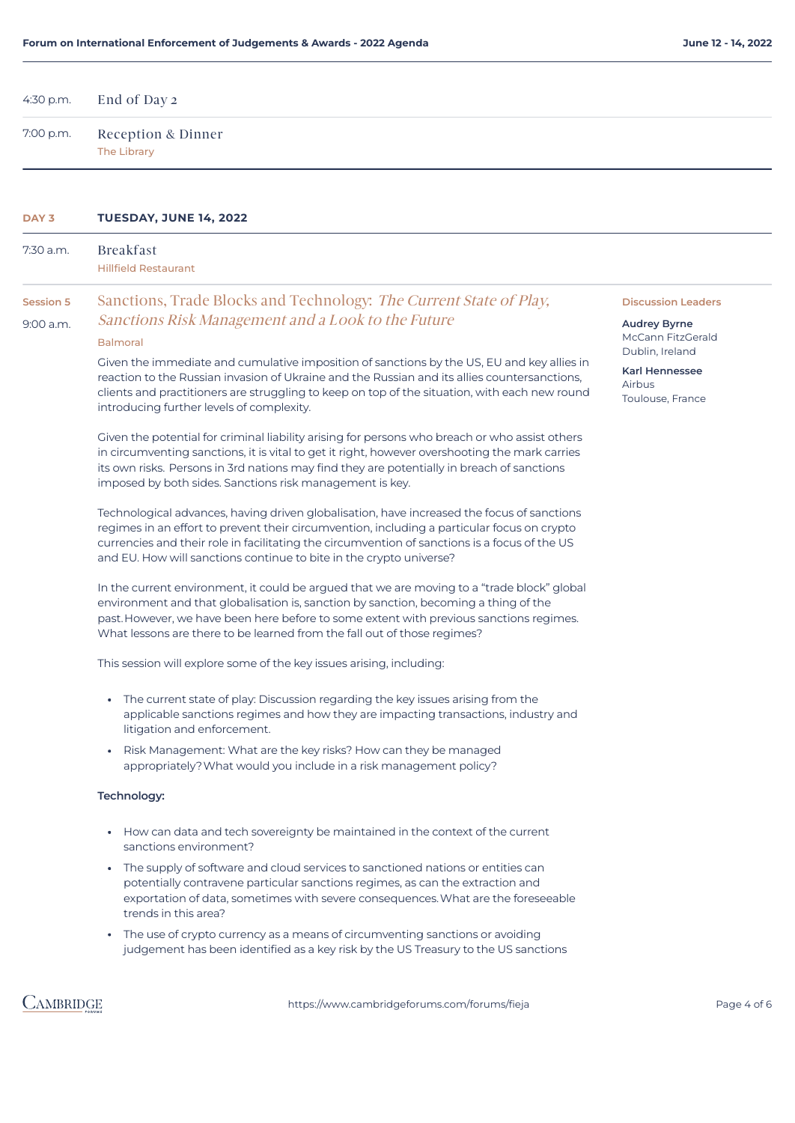| 4:30 p.m.                     | End of Day 2                                                                                                                                                                                                                                                                                                                                                                                                                                                                                                                                                                                                                                                                                                                                                                                                                                                                                                                                                                                                                                                                                                                                                                                                                                                                                                                                                                                                                                                                                                                                                                                                                                                                                                                                                                                                                                                                                                                                                                                                                                     |                                                                                                                                                 |
|-------------------------------|--------------------------------------------------------------------------------------------------------------------------------------------------------------------------------------------------------------------------------------------------------------------------------------------------------------------------------------------------------------------------------------------------------------------------------------------------------------------------------------------------------------------------------------------------------------------------------------------------------------------------------------------------------------------------------------------------------------------------------------------------------------------------------------------------------------------------------------------------------------------------------------------------------------------------------------------------------------------------------------------------------------------------------------------------------------------------------------------------------------------------------------------------------------------------------------------------------------------------------------------------------------------------------------------------------------------------------------------------------------------------------------------------------------------------------------------------------------------------------------------------------------------------------------------------------------------------------------------------------------------------------------------------------------------------------------------------------------------------------------------------------------------------------------------------------------------------------------------------------------------------------------------------------------------------------------------------------------------------------------------------------------------------------------------------|-------------------------------------------------------------------------------------------------------------------------------------------------|
| 7:00 p.m.                     | <b>Reception &amp; Dinner</b><br>The Library                                                                                                                                                                                                                                                                                                                                                                                                                                                                                                                                                                                                                                                                                                                                                                                                                                                                                                                                                                                                                                                                                                                                                                                                                                                                                                                                                                                                                                                                                                                                                                                                                                                                                                                                                                                                                                                                                                                                                                                                     |                                                                                                                                                 |
| DAY <sub>3</sub>              | <b>TUESDAY, JUNE 14, 2022</b>                                                                                                                                                                                                                                                                                                                                                                                                                                                                                                                                                                                                                                                                                                                                                                                                                                                                                                                                                                                                                                                                                                                                                                                                                                                                                                                                                                                                                                                                                                                                                                                                                                                                                                                                                                                                                                                                                                                                                                                                                    |                                                                                                                                                 |
| $7:30$ a.m.                   | <b>Breakfast</b><br><b>Hillfield Restaurant</b>                                                                                                                                                                                                                                                                                                                                                                                                                                                                                                                                                                                                                                                                                                                                                                                                                                                                                                                                                                                                                                                                                                                                                                                                                                                                                                                                                                                                                                                                                                                                                                                                                                                                                                                                                                                                                                                                                                                                                                                                  |                                                                                                                                                 |
| <b>Session 5</b><br>9:00 a.m. | Sanctions, Trade Blocks and Technology: The Current State of Play,<br>Sanctions Risk Management and a Look to the Future<br><b>Balmoral</b><br>Given the immediate and cumulative imposition of sanctions by the US, EU and key allies in<br>reaction to the Russian invasion of Ukraine and the Russian and its allies countersanctions,<br>clients and practitioners are struggling to keep on top of the situation, with each new round<br>introducing further levels of complexity.<br>Given the potential for criminal liability arising for persons who breach or who assist others<br>in circumventing sanctions, it is vital to get it right, however overshooting the mark carries<br>its own risks. Persons in 3rd nations may find they are potentially in breach of sanctions<br>imposed by both sides. Sanctions risk management is key.<br>Technological advances, having driven globalisation, have increased the focus of sanctions<br>regimes in an effort to prevent their circumvention, including a particular focus on crypto<br>currencies and their role in facilitating the circumvention of sanctions is a focus of the US<br>and EU. How will sanctions continue to bite in the crypto universe?<br>In the current environment, it could be argued that we are moving to a "trade block" global<br>environment and that globalisation is, sanction by sanction, becoming a thing of the<br>past. However, we have been here before to some extent with previous sanctions regimes.<br>What lessons are there to be learned from the fall out of those regimes?<br>This session will explore some of the key issues arising, including:<br>• The current state of play: Discussion regarding the key issues arising from the<br>applicable sanctions regimes and how they are impacting transactions, industry and<br>litigation and enforcement.<br>Risk Management: What are the key risks? How can they be managed<br>$\bullet$<br>appropriately? What would you include in a risk management policy?<br>Technology: | <b>Discussion Leaders</b><br><b>Audrey Byrne</b><br>McCann FitzGerald<br>Dublin, Ireland<br><b>Karl Hennessee</b><br>Airbus<br>Toulouse, France |
|                               | • How can data and tech sovereignty be maintained in the context of the current<br>sanctions environment?<br>• The supply of software and cloud services to sanctioned nations or entities can<br>potentially contravene particular sanctions regimes, as can the extraction and<br>exportation of data, sometimes with severe consequences. What are the foreseeable<br>trends in this area?<br>• The use of crypto currency as a means of circumventing sanctions or avoiding                                                                                                                                                                                                                                                                                                                                                                                                                                                                                                                                                                                                                                                                                                                                                                                                                                                                                                                                                                                                                                                                                                                                                                                                                                                                                                                                                                                                                                                                                                                                                                  |                                                                                                                                                 |
| <b>CAMBRIDGE</b>              | judgement has been identified as a key risk by the US Treasury to the US sanctions<br>https://www.cambridgeforums.com/forums/fieja                                                                                                                                                                                                                                                                                                                                                                                                                                                                                                                                                                                                                                                                                                                                                                                                                                                                                                                                                                                                                                                                                                                                                                                                                                                                                                                                                                                                                                                                                                                                                                                                                                                                                                                                                                                                                                                                                                               | Page 4 of 6                                                                                                                                     |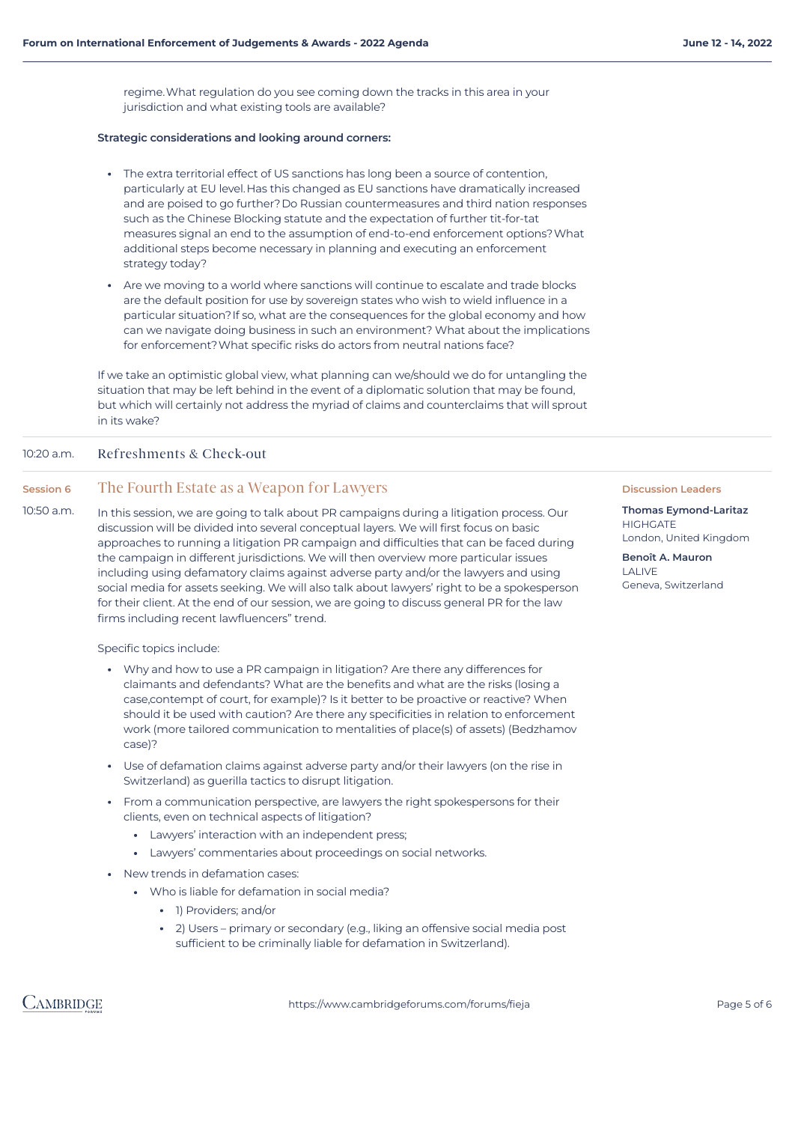regime.What regulation do you see coming down the tracks in this area in your jurisdiction and what existing tools are available?

## **Strategic considerations and looking around corners:**

- The extra territorial effect of US sanctions has long been a source of contention, particularly at EU level.Has this changed as EU sanctions have dramatically increased and are poised to go further?Do Russian countermeasures and third nation responses such as the Chinese Blocking statute and the expectation of further tit-for-tat measures signal an end to the assumption of end-to-end enforcement options?What additional steps become necessary in planning and executing an enforcement strategy today?
- Are we moving to a world where sanctions will continue to escalate and trade blocks are the default position for use by sovereign states who wish to wield influence in a particular situation?If so, what are the consequences for the global economy and how can we navigate doing business in such an environment? What about the implications for enforcement? What specific risks do actors from neutral nations face?

If we take an optimistic global view, what planning can we/should we do for untangling the situation that may be left behind in the event of a diplomatic solution that may be found, but which will certainly not address the myriad of claims and counterclaims that will sprout in its wake?

#### 10:20 a.m. Refreshments & Check-out

#### **Session 6** The Fourth Estate as a Weapon for Lawyers

 $10:50 \text{ a m}$ In this session, we are going to talk about PR campaigns during a litigation process. Our discussion will be divided into several conceptual layers. We will first focus on basic approaches to running a litigation PR campaign and difficulties that can be faced during the campaign in different jurisdictions. We will then overview more particular issues including using defamatory claims against adverse party and/or the lawyers and using social media for assets seeking. We will also talk about lawyers' right to be a spokesperson for their client. At the end of our session, we are going to discuss general PR for the law firms including recent lawfluencers" trend.

Specific topics include:

- Why and how to use a PR campaign in litigation? Are there any differences for claimants and defendants? What are the benefits and what are the risks (losing a case,contempt of court, for example)? Is it better to be proactive or reactive? When should it be used with caution? Are there any specificities in relation to enforcement work (more tailored communication to mentalities of place(s) of assets) (Bedzhamov case)?
- Use of defamation claims against adverse party and/or their lawyers (on the rise in Switzerland) as guerilla tactics to disrupt litigation.
- From a communication perspective, are lawyers the right spokespersons for their clients, even on technical aspects of litigation?
	- Lawyers' interaction with an independent press;
	- Lawyers' commentaries about proceedings on social networks.
- New trends in defamation cases:
	- Who is liable for defamation in social media?
		- 1) Providers; and/or
		- 2) Users primary or secondary (e.g., liking an offensive social media post sufficient to be criminally liable for defamation in Switzerland).

## **Discussion Leaders**

**Thomas Eymond-Laritaz HIGHGATE** London, United Kingdom

**Benoît A. Mauron** LALIVE Geneva, Switzerland